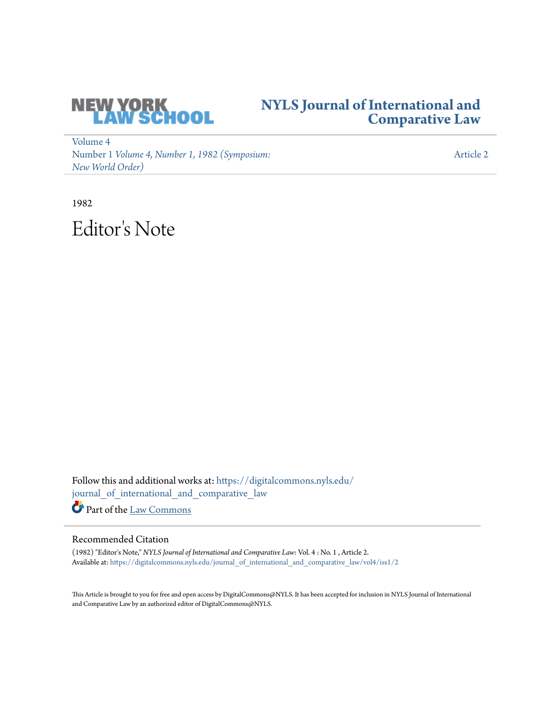

## **[NYLS Journal of International and](https://digitalcommons.nyls.edu/journal_of_international_and_comparative_law?utm_source=digitalcommons.nyls.edu%2Fjournal_of_international_and_comparative_law%2Fvol4%2Fiss1%2F2&utm_medium=PDF&utm_campaign=PDFCoverPages) [Comparative Law](https://digitalcommons.nyls.edu/journal_of_international_and_comparative_law?utm_source=digitalcommons.nyls.edu%2Fjournal_of_international_and_comparative_law%2Fvol4%2Fiss1%2F2&utm_medium=PDF&utm_campaign=PDFCoverPages)**

[Volume 4](https://digitalcommons.nyls.edu/journal_of_international_and_comparative_law/vol4?utm_source=digitalcommons.nyls.edu%2Fjournal_of_international_and_comparative_law%2Fvol4%2Fiss1%2F2&utm_medium=PDF&utm_campaign=PDFCoverPages) Number 1 *[Volume 4, Number 1, 1982 \(Symposium:](https://digitalcommons.nyls.edu/journal_of_international_and_comparative_law/vol4/iss1?utm_source=digitalcommons.nyls.edu%2Fjournal_of_international_and_comparative_law%2Fvol4%2Fiss1%2F2&utm_medium=PDF&utm_campaign=PDFCoverPages) [New World Order\)](https://digitalcommons.nyls.edu/journal_of_international_and_comparative_law/vol4/iss1?utm_source=digitalcommons.nyls.edu%2Fjournal_of_international_and_comparative_law%2Fvol4%2Fiss1%2F2&utm_medium=PDF&utm_campaign=PDFCoverPages)*

[Article 2](https://digitalcommons.nyls.edu/journal_of_international_and_comparative_law/vol4/iss1/2?utm_source=digitalcommons.nyls.edu%2Fjournal_of_international_and_comparative_law%2Fvol4%2Fiss1%2F2&utm_medium=PDF&utm_campaign=PDFCoverPages)

1982 Editor 's Note

Follow this and additional works at: [https://digitalcommons.nyls.edu/](https://digitalcommons.nyls.edu/journal_of_international_and_comparative_law?utm_source=digitalcommons.nyls.edu%2Fjournal_of_international_and_comparative_law%2Fvol4%2Fiss1%2F2&utm_medium=PDF&utm_campaign=PDFCoverPages) [journal\\_of\\_international\\_and\\_comparative\\_law](https://digitalcommons.nyls.edu/journal_of_international_and_comparative_law?utm_source=digitalcommons.nyls.edu%2Fjournal_of_international_and_comparative_law%2Fvol4%2Fiss1%2F2&utm_medium=PDF&utm_campaign=PDFCoverPages)

Part of the [Law Commons](http://network.bepress.com/hgg/discipline/578?utm_source=digitalcommons.nyls.edu%2Fjournal_of_international_and_comparative_law%2Fvol4%2Fiss1%2F2&utm_medium=PDF&utm_campaign=PDFCoverPages)

### Recommended Citation

(1982) "Editor's Note," *NYLS Journal of International and Comparative Law*: Vol. 4 : No. 1 , Article 2. Available at: [https://digitalcommons.nyls.edu/journal\\_of\\_international\\_and\\_comparative\\_law/vol4/iss1/2](https://digitalcommons.nyls.edu/journal_of_international_and_comparative_law/vol4/iss1/2?utm_source=digitalcommons.nyls.edu%2Fjournal_of_international_and_comparative_law%2Fvol4%2Fiss1%2F2&utm_medium=PDF&utm_campaign=PDFCoverPages)

This Article is brought to you for free and open access by DigitalCommons@NYLS. It has been accepted for inclusion in NYLS Journal of International and Comparative Law by an authorized editor of DigitalCommons@NYLS.